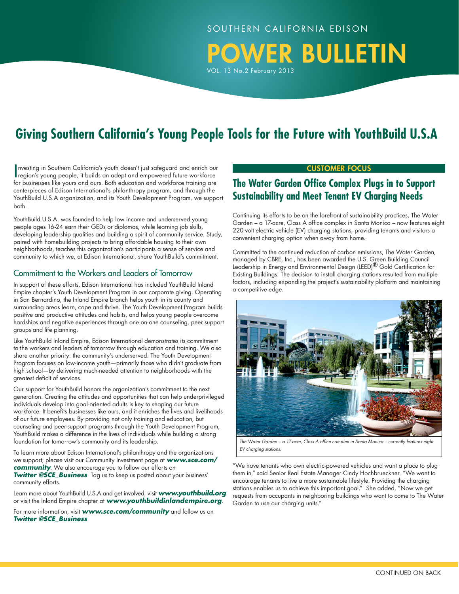POWER BULLETIN

**Giving Southern California's Young People Tools for the Future with YouthBuild U.S.A**

VOL. 13 No.2 February 2013

Investing in Southern California's youth doesn't just safeguard and enrich our region's young people, it builds an adept and empowered future workforce nvesting in Southern California's youth doesn't just safeguard and enrich our for businesses like yours and ours. Both education and workforce training are centerpieces of Edison International's philanthropy program, and through the YouthBuild U.S.A organization, and its Youth Development Program, we support both.

YouthBuild U.S.A. was founded to help low income and underserved young people ages 16-24 earn their GEDs or diplomas, while learning job skills, developing leadership qualities and building a spirit of community service. Study, paired with homebuilding projects to bring affordable housing to their own neighborhoods, teaches this organization's participants a sense of service and community to which we, at Edison International, share YouthBuild's commitment.

### Commitment to the Workers and Leaders of Tomorrow

In support of these efforts, Edison International has included YouthBuild Inland Empire chapter's Youth Development Program in our corporate giving. Operating in San Bernardino, the Inland Empire branch helps youth in its county and surrounding areas learn, cope and thrive. The Youth Development Program builds positive and productive attitudes and habits, and helps young people overcome hardships and negative experiences through one-on-one counseling, peer support groups and life planning.

Like YouthBuild Inland Empire, Edison International demonstrates its commitment to the workers and leaders of tomorrow through education and training. We also share another priority: the community's underserved. The Youth Development Program focuses on low-income youth—primarily those who didn't graduate from high school—by delivering much-needed attention to neighborhoods with the greatest deficit of services.

Our support for YouthBuild honors the organization's commitment to the next generation. Creating the attitudes and opportunities that can help underprivileged individuals develop into goal-oriented adults is key to shaping our future workforce. It benefits businesses like ours, and it enriches the lives and livelihoods of our future employees. By providing not only training and education, but counseling and peer-support programs through the Youth Development Program, YouthBuild makes a difference in the lives of individuals while building a strong foundation for tomorrow's community and its leadership.

To learn more about Edison International's philanthropy and the organizations we support, please visit our Community Investment page at *www.sce.com/ community*. We also encourage you to follow our efforts on **Twitter @SCE\_Business**. Tag us to keep us posted about your business' community efforts.

Learn more about YouthBuild U.S.A and get involved, visit *www.youthbuild.org* or visit the Inland Empire chapter at *www.youthbuildinlandempire.org*.

For more information, visit *www.sce.com/community* and follow us on *Twitter @SCE\_Business*.

#### CUSTOMER Focus

## **The Water Garden Office Complex Plugs in to Support Sustainability and Meet Tenant EV Charging Needs**

Continuing its efforts to be on the forefront of sustainability practices, The Water Garden – a 17-acre, Class A office complex in Santa Monica – now features eight 220-volt electric vehicle (EV) charging stations, providing tenants and visitors a convenient charging option when away from home.

Committed to the continued reduction of carbon emissions, The Water Garden, managed by CBRE, Inc., has been awarded the U.S. Green Building Council Leadership in Energy and Environmental Design (LEED)<sup>®</sup> Gold Certification for Existing Buildings. The decision to install charging stations resulted from multiple factors, including expanding the project's sustainability platform and maintaining a competitive edge.



*The Water Garden – a 17-acre, Class A office complex in Santa Monica – currently features eight EV charging stations.*

"We have tenants who own electric-powered vehicles and want a place to plug them in," said Senior Real Estate Manager Cindy Hochbrueckner. "We want to encourage tenants to live a more sustainable lifestyle. Providing the charging stations enables us to achieve this important goal." She added, "Now we get requests from occupants in neighboring buildings who want to come to The Water Garden to use our charging units."